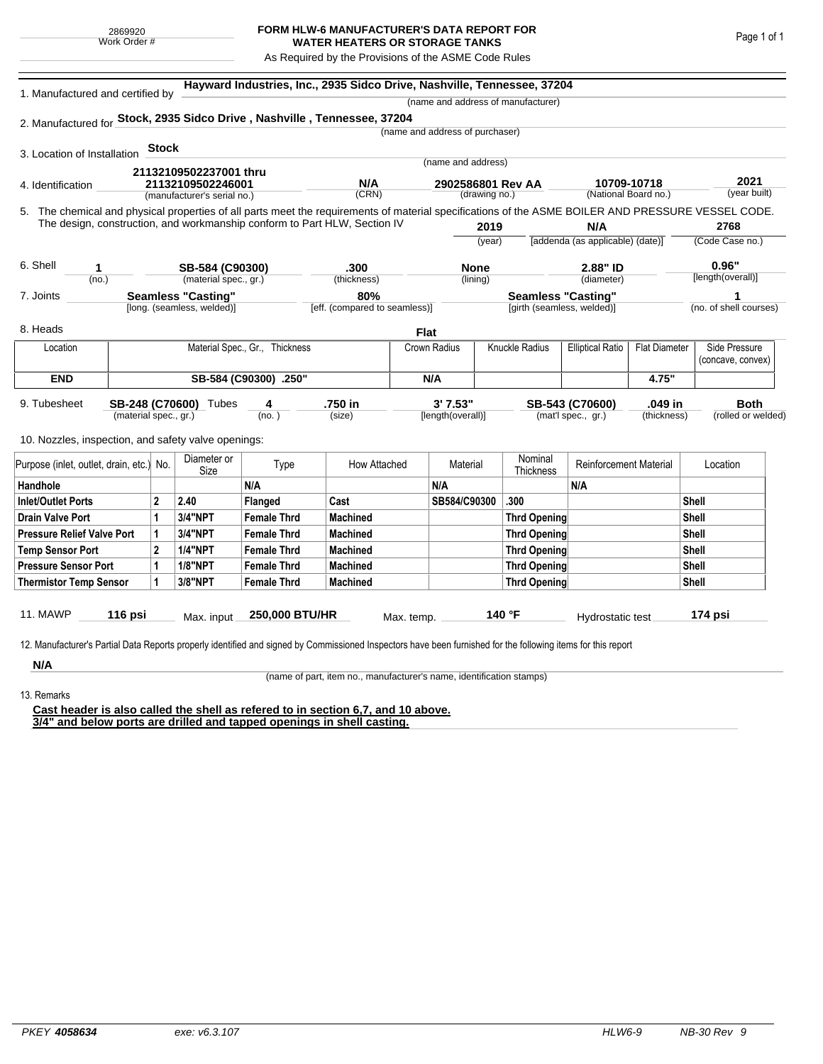## **FORM HLW-6 MANUFACTURER'S DATA REPORT FOR WATER HEATERS OR STORAGE TANKS**

As Required by the Provisions of the ASME Code Rules

| 1. Manufactured and certified by                                                                                                                              |                                          |                                |                     |                               | Hayward Industries, Inc., 2935 Sidco Drive, Nashville, Tennessee, 37204   |                         |                                 |                           |                                    |                                  |                                    |                        |                    |  |
|---------------------------------------------------------------------------------------------------------------------------------------------------------------|------------------------------------------|--------------------------------|---------------------|-------------------------------|---------------------------------------------------------------------------|-------------------------|---------------------------------|---------------------------|------------------------------------|----------------------------------|------------------------------------|------------------------|--------------------|--|
|                                                                                                                                                               |                                          |                                |                     |                               |                                                                           |                         |                                 |                           | (name and address of manufacturer) |                                  |                                    |                        |                    |  |
| 2. Manufactured for Stock, 2935 Sidco Drive, Nashville, Tennessee, 37204                                                                                      |                                          |                                |                     |                               |                                                                           |                         |                                 |                           |                                    |                                  |                                    |                        |                    |  |
|                                                                                                                                                               |                                          |                                |                     |                               |                                                                           |                         | (name and address of purchaser) |                           |                                    |                                  |                                    |                        |                    |  |
| 3. Location of Installation                                                                                                                                   |                                          | <b>Stock</b>                   |                     |                               |                                                                           |                         |                                 |                           |                                    |                                  |                                    |                        |                    |  |
|                                                                                                                                                               |                                          | 21132109502237001 thru         |                     |                               | (name and address)                                                        |                         |                                 |                           |                                    |                                  |                                    |                        |                    |  |
| 4. Identification                                                                                                                                             |                                          | 21132109502246001              |                     |                               | N/A                                                                       |                         | 2902586801 Rev AA               |                           | 10709-10718                        |                                  |                                    | 2021                   |                    |  |
| (manufacturer's serial no.)                                                                                                                                   |                                          |                                | (CRN)               |                               | (drawing no.)                                                             |                         |                                 |                           | (National Board no.)               |                                  | (year built)                       |                        |                    |  |
| 5. The chemical and physical properties of all parts meet the requirements of material specifications of the ASME BOILER AND PRESSURE VESSEL CODE.            |                                          |                                |                     |                               |                                                                           |                         |                                 |                           |                                    |                                  |                                    |                        |                    |  |
|                                                                                                                                                               |                                          |                                |                     |                               | The design, construction, and workmanship conform to Part HLW, Section IV |                         |                                 | 2019                      |                                    | N/A                              |                                    |                        | 2768               |  |
|                                                                                                                                                               |                                          |                                |                     |                               |                                                                           |                         | (year)                          |                           |                                    | [addenda (as applicable) (date)] |                                    | (Code Case no.)        |                    |  |
| 6. Shell                                                                                                                                                      |                                          |                                |                     |                               |                                                                           |                         |                                 |                           |                                    |                                  |                                    |                        | 0.96"              |  |
| 1<br>(no.)                                                                                                                                                    | SB-584 (C90300)<br>(material spec., gr.) |                                |                     | .300<br>(thickness)           |                                                                           | <b>None</b><br>(lining) |                                 | 2.88" ID<br>(diameter)    |                                    |                                  | [length(overall)]                  |                        |                    |  |
| 7. Joints                                                                                                                                                     | <b>Seamless "Casting"</b>                |                                |                     | 80%                           |                                                                           |                         |                                 | <b>Seamless "Casting"</b> |                                    |                                  |                                    | 1                      |                    |  |
|                                                                                                                                                               | [long. (seamless, welded)]               |                                |                     | [eff. (compared to seamless)] |                                                                           |                         |                                 |                           | [girth (seamless, welded)]         |                                  |                                    | (no. of shell courses) |                    |  |
| 8. Heads                                                                                                                                                      |                                          |                                |                     |                               |                                                                           |                         |                                 |                           |                                    |                                  |                                    |                        |                    |  |
|                                                                                                                                                               |                                          |                                |                     |                               |                                                                           | Flat                    |                                 |                           |                                    |                                  |                                    |                        |                    |  |
| Location                                                                                                                                                      |                                          | Material Spec., Gr., Thickness |                     |                               | Crown Radius                                                              |                         | <b>Knuckle Radius</b>           | <b>Elliptical Ratio</b>   | <b>Flat Diameter</b>               |                                  | Side Pressure<br>(concave, convex) |                        |                    |  |
| <b>END</b>                                                                                                                                                    |                                          |                                |                     | SB-584 (C90300) .250"         |                                                                           |                         | N/A                             |                           |                                    |                                  | 4.75"                              |                        |                    |  |
|                                                                                                                                                               |                                          |                                |                     |                               |                                                                           |                         |                                 |                           |                                    |                                  |                                    |                        |                    |  |
| 9. Tubesheet                                                                                                                                                  |                                          | SB-248 (C70600) Tubes<br>4     |                     |                               | .750 in                                                                   |                         | 3'7.53"                         |                           |                                    | .049 in<br>SB-543 (C70600)       |                                    |                        | <b>Both</b>        |  |
|                                                                                                                                                               | (material spec., gr.)                    |                                |                     | (no. )                        | (size)                                                                    |                         | [length(overall)]               |                           |                                    | (mat'l spec., gr.)               | (thickness)                        |                        | (rolled or welded) |  |
| 10. Nozzles, inspection, and safety valve openings:                                                                                                           |                                          |                                |                     |                               |                                                                           |                         |                                 |                           |                                    |                                  |                                    |                        |                    |  |
|                                                                                                                                                               |                                          |                                |                     |                               |                                                                           |                         |                                 |                           |                                    |                                  |                                    |                        |                    |  |
| Purpose (inlet, outlet, drain, etc.)                                                                                                                          |                                          | No.                            | Diameter or<br>Size | Type                          | How Attached                                                              |                         | Material                        |                           | Nominal<br><b>Thickness</b>        | <b>Reinforcement Material</b>    |                                    |                        | Location           |  |
| Handhole                                                                                                                                                      |                                          |                                | N/A                 |                               |                                                                           | N/A                     |                                 |                           | N/A                                |                                  |                                    |                        |                    |  |
| <b>Inlet/Outlet Ports</b>                                                                                                                                     |                                          | $\mathbf 2$                    | 2.40                | Flanged                       | Cast                                                                      |                         | SB584/C90300                    |                           | .300                               |                                  |                                    | Shell                  |                    |  |
| <b>Drain Valve Port</b>                                                                                                                                       |                                          | 1                              | 3/4"NPT             | <b>Female Thrd</b>            | <b>Machined</b>                                                           |                         |                                 |                           | <b>Thrd Opening</b>                |                                  |                                    | Shell                  |                    |  |
| <b>Pressure Relief Valve Port</b>                                                                                                                             |                                          | 1                              | <b>3/4"NPT</b>      | <b>Female Thrd</b>            | <b>Machined</b>                                                           |                         |                                 | <b>Thrd Opening</b>       |                                    |                                  |                                    |                        | Shell              |  |
| <b>Temp Sensor Port</b>                                                                                                                                       |                                          | $\mathbf 2$                    | <b>1/4"NPT</b>      | <b>Female Thrd</b>            | <b>Machined</b>                                                           |                         |                                 | <b>Thrd Opening</b>       |                                    |                                  |                                    |                        | Shell              |  |
| <b>Pressure Sensor Port</b>                                                                                                                                   |                                          | 1                              | <b>1/8"NPT</b>      | <b>Female Thrd</b>            | <b>Machined</b>                                                           |                         |                                 |                           | <b>Thrd Opening</b>                |                                  |                                    |                        | Shell              |  |
| <b>Thermistor Temp Sensor</b>                                                                                                                                 |                                          | 1                              | 3/8"NPT             | <b>Female Thrd</b>            | <b>Machined</b>                                                           |                         |                                 |                           | <b>Thrd Opening</b>                |                                  |                                    |                        | <b>Shell</b>       |  |
|                                                                                                                                                               |                                          |                                |                     |                               |                                                                           |                         |                                 |                           |                                    |                                  |                                    |                        |                    |  |
| <b>11. MAWP</b>                                                                                                                                               | 116 psi                                  |                                | Max. input          | 250,000 BTU/HR                |                                                                           | Max. temp.              |                                 |                           | 140 °F                             | Hydrostatic test                 |                                    |                        | 174 psi            |  |
|                                                                                                                                                               |                                          |                                |                     |                               |                                                                           |                         |                                 |                           |                                    |                                  |                                    |                        |                    |  |
| 12. Manufacturer's Partial Data Reports properly identified and signed by Commissioned Inspectors have been furnished for the following items for this report |                                          |                                |                     |                               |                                                                           |                         |                                 |                           |                                    |                                  |                                    |                        |                    |  |
| N/A                                                                                                                                                           |                                          |                                |                     |                               |                                                                           |                         |                                 |                           |                                    |                                  |                                    |                        |                    |  |

13. Remarks

(name of part, item no., manufacturer's name, identification stamps)

**Cast header is also called the shell as refered to in section 6,7, and 10 above. 3/4" and below ports are drilled and tapped openings in shell casting.**